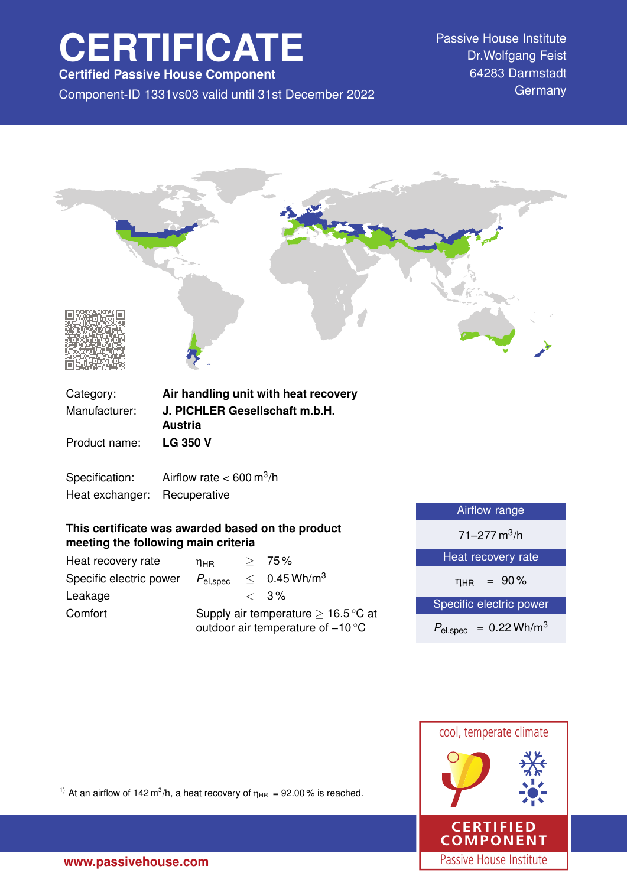# **CERTIFICATE**

**Certified Passive House Component**

Component-ID 1331vs03 valid until 31st December 2022 Germany

Passive House Institute Dr.Wolfgang Feist 64283 Darmstadt



 $η_{HR}$  = 90%

Specific electric power

 $P_{\text{el,spec}} = 0.22 \text{ Wh/m}^3$ 



<sup>1)</sup> At an airflow of 142 m<sup>3</sup>/h, a heat recovery of  $\eta_{HR} = 92.00\%$  is reached.

Heat recovery rate  $\eta_{HR} \geq 75\%$ 

Leakage  $\leq 3\%$ 

Specific electric power  $P_{el,spec} \leq 0.45 \text{ Wh/m}^3$ 

Comfort Supply air temperature  $\geq 16.5$  °C at

outdoor air temperature of −10 ◦C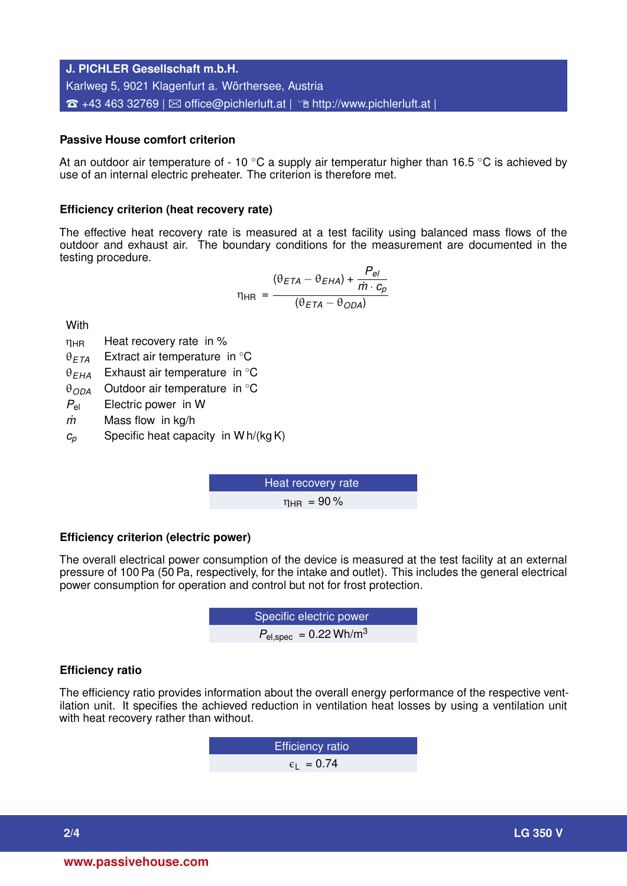# **J. PICHLER Gesellschaft m.b.H.** Karlweg 5, 9021 Klagenfurt a. Wörthersee, Austria  $\hat{\mathbf{B}}$  +43 463 32769 |  $\boxtimes$  [office@pichlerluft.at](mailto:office@pichlerluft.at) |  $\hat{\mathbf{B}}$  <http://www.pichlerluft.at> |

# **Passive House comfort criterion**

At an outdoor air temperature of - 10  $\degree$ C a supply air temperatur higher than 16.5  $\degree$ C is achieved by use of an internal electric preheater. The criterion is therefore met.

### **Efficiency criterion (heat recovery rate)**

The effective heat recovery rate is measured at a test facility using balanced mass flows of the outdoor and exhaust air. The boundary conditions for the measurement are documented in the testing procedure.

$$
\eta_{HR} = \frac{(\theta_{ETA} - \theta_{EHA}) + \frac{P_{el}}{\dot{m} \cdot c_p}}{(\theta_{ETA} - \theta_{ODA})}
$$

**With** 

- $\eta_{HR}$  Heat recovery rate in %
- θ*ETA* Extract air temperature in ◦C
- θ*EHA* Exhaust air temperature in ◦C
- θ*ODA* Outdoor air temperature in ◦C
- *P*el Electric power in W
- *m˙* Mass flow in kg/h
- $c_p$  Specific heat capacity in W h/(kg K)

Heat recovery rate  $n_{\text{HR}} = 90\%$ 

# **Efficiency criterion (electric power)**

The overall electrical power consumption of the device is measured at the test facility at an external pressure of 100 Pa (50 Pa, respectively, for the intake and outlet). This includes the general electrical power consumption for operation and control but not for frost protection.

**EXECUTE:** Specific electric power  

$$
P_{el,spec} = 0.22 \text{ Wh/m}^3
$$

# **Efficiency ratio**

The efficiency ratio provides information about the overall energy performance of the respective ventilation unit. It specifies the achieved reduction in ventilation heat losses by using a ventilation unit with heat recovery rather than without.

> Efficiency ratio  $\epsilon_1$  = 0.74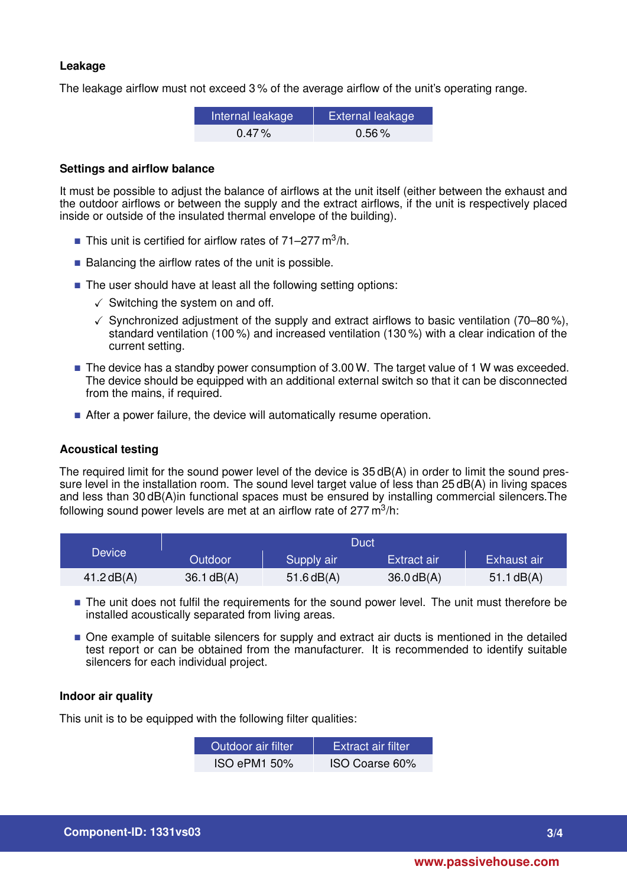# **Leakage**

The leakage airflow must not exceed 3 % of the average airflow of the unit's operating range.

| Internal leakage | <b>External leakage</b> |
|------------------|-------------------------|
| $0.47\%$         | $0.56\%$                |

#### **Settings and airflow balance**

It must be possible to adjust the balance of airflows at the unit itself (either between the exhaust and the outdoor airflows or between the supply and the extract airflows, if the unit is respectively placed inside or outside of the insulated thermal envelope of the building).

- This unit is certified for airflow rates of  $71-277$  m<sup>3</sup>/h.
- $\blacksquare$  Balancing the airflow rates of the unit is possible.
- The user should have at least all the following setting options:
	- $\checkmark$  Switching the system on and off.
	- $\checkmark$  Synchronized adjustment of the supply and extract airflows to basic ventilation (70–80%), standard ventilation (100 %) and increased ventilation (130 %) with a clear indication of the current setting.
- The device has a standby power consumption of 3.00 W. The target value of 1 W was exceeded. The device should be equipped with an additional external switch so that it can be disconnected from the mains, if required.
- After a power failure, the device will automatically resume operation.

# **Acoustical testing**

The required limit for the sound power level of the device is 35 dB(A) in order to limit the sound pressure level in the installation room. The sound level target value of less than 25 dB(A) in living spaces and less than 30 dB(A)in functional spaces must be ensured by installing commercial silencers.The following sound power levels are met at an airflow rate of 277 m $^3$ /h:

|              | Duct           |              |              |              |
|--------------|----------------|--------------|--------------|--------------|
| Device       | <b>Outdoor</b> | Supply air   | Extract air  | Exhaust air  |
| 41.2 $dB(A)$ | $36.1$ dB(A)   | $51.6$ dB(A) | $36.0$ dB(A) | 51.1 $dB(A)$ |

- The unit does not fulfil the requirements for the sound power level. The unit must therefore be installed acoustically separated from living areas.
- $\blacksquare$  One example of suitable silencers for supply and extract air ducts is mentioned in the detailed test report or can be obtained from the manufacturer. It is recommended to identify suitable silencers for each individual project.

### **Indoor air quality**

This unit is to be equipped with the following filter qualities:

| Outdoor air filter. | <b>Extract air filter</b> |
|---------------------|---------------------------|
| <b>ISO ePM1 50%</b> | ISO Coarse 60%            |